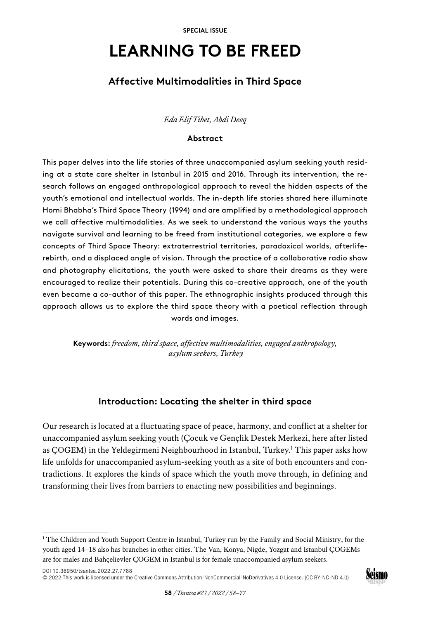# **LEARNING TO BE FREED**

## **Affective Multimodalities in Third Space**

## *Eda Elif Tibet, Abdi Deeq*

## **Abstract**

This paper delves into the life stories of three unaccompanied asylum seeking youth residing at a state care shelter in Istanbul in 2015 and 2016. Through its intervention, the research follows an engaged anthropological approach to reveal the hidden aspects of the youth's emotional and intellectual worlds. The in-depth life stories shared here illuminate Homi Bhabha's Third Space Theory (1994) and are amplified by a methodological approach we call affective multimodalities. As we seek to understand the various ways the youths navigate survival and learning to be freed from institutional categories, we explore a few concepts of Third Space Theory: extraterrestrial territories, paradoxical worlds, afterliferebirth, and a displaced angle of vision. Through the practice of a collaborative radio show and photography elicitations, the youth were asked to share their dreams as they were encouraged to realize their potentials. During this co-creative approach, one of the youth even became a co-author of this paper. The ethnographic insights produced through this approach allows us to explore the third space theory with a poetical reflection through words and images.

**Keywords:** *freedom, third space, affective multimodalities, engaged anthropology, asylum seekers, Turkey*

## **Introduction: Locating the shelter in third space**

Our research is located at a fluctuating space of peace, harmony, and conflict at a shelter for unaccompanied asylum seeking youth (Çocuk ve Gençlik Destek Merkezi, here after listed as ÇOGEM) in the Yeldegirmeni Neighbourhood in Istanbul, Turkey.<sup>1</sup> This paper asks how life unfolds for unaccompanied asylum-seeking youth as a site of both encounters and contradictions. It explores the kinds of space which the youth move through, in defining and transforming their lives from barriers to enacting new possibilities and beginnings.

[DOI 10.36950/tsantsa.2022.27.7788](https://doi.org/10.36950/tsantsa.2022.27.7788) [© 2022 This work is licensed under the Creative Commons Attribution-NonCommercial-NoDerivatives 4.0 License. \(CC BY-NC-ND 4.0\)](https://creativecommons.org/licenses/by-nc-nd/4.0/deed.en)

<sup>1</sup> The Children and Youth Support Centre in Istanbul, Turkey run by the Family and Social Ministry, for the youth aged 14–18 also has branches in other cities. The Van, Konya, Nigde, Yozgat and Istanbul ÇOGEMs are for males and Bahçelievler ÇOGEM in Istanbul is for female unaccompanied asylum seekers.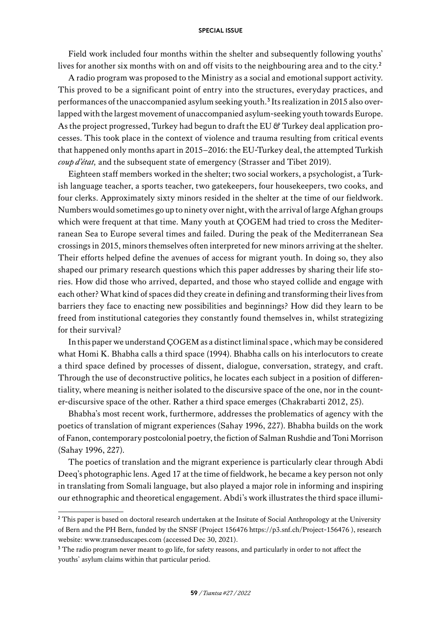Field work included four months within the shelter and subsequently following youths' lives for another six months with on and off visits to the neighbouring area and to the city.<sup>2</sup>

A radio program was proposed to the Ministry as a social and emotional support activity. This proved to be a significant point of entry into the structures, everyday practices, and performances of the unaccompanied asylum seeking youth.<sup>3</sup> Its realization in 2015 also overlapped with the largest movement of unaccompanied asylum-seeking youth towards Europe. As the project progressed, Turkey had begun to draft the EU & Turkey deal application processes. This took place in the context of violence and trauma resulting from critical events that happened only months apart in 2015–2016: the EU-Turkey deal, the attempted Turkish *coup d'état,* and the subsequent state of emergency (Strasser and Tibet 2019).

Eighteen staff members worked in the shelter; two social workers, a psychologist, a Turkish language teacher, a sports teacher, two gatekeepers, four housekeepers, two cooks, and four clerks. Approximately sixty minors resided in the shelter at the time of our fieldwork. Numbers would sometimes go up to ninety over night, with the arrival of large Afghan groups which were frequent at that time. Many youth at ÇOGEM had tried to cross the Mediterranean Sea to Europe several times and failed. During the peak of the Mediterranean Sea crossings in 2015, minors themselves often interpreted for new minors arriving at the shelter. Their efforts helped define the avenues of access for migrant youth. In doing so, they also shaped our primary research questions which this paper addresses by sharing their life stories. How did those who arrived, departed, and those who stayed collide and engage with each other? What kind of spaces did they create in defining and transforming their lives from barriers they face to enacting new possibilities and beginnings? How did they learn to be freed from institutional categories they constantly found themselves in, whilst strategizing for their survival?

In this paper we understand ÇOGEM as a distinct liminal space , which may be considered what Homi K. Bhabha calls a third space (1994). Bhabha calls on his interlocutors to create a third space defined by processes of dissent, dialogue, conversation, strategy, and craft. Through the use of deconstructive politics, he locates each subject in a position of differentiality, where meaning is neither isolated to the discursive space of the one, nor in the counter-discursive space of the other. Rather a third space emerges (Chakrabarti 2012, 25).

Bhabha's most recent work, furthermore, addresses the problematics of agency with the poetics of translation of migrant experiences (Sahay 1996, 227). Bhabha builds on the work of Fanon, contemporary postcolonial poetry, the fiction of Salman Rushdie and Toni Morrison (Sahay 1996, 227).

The poetics of translation and the migrant experience is particularly clear through Abdi Deeq's photographic lens. Aged 17 at the time of fieldwork, he became a key person not only in translating from Somali language, but also played a major role in informing and inspiring our ethnographic and theoretical engagement. Abdi's work illustrates the third space illumi-

<sup>&</sup>lt;sup>2</sup> This paper is based on doctoral research undertaken at the Insitute of Social Anthropology at the University of Bern and the PH Bern, funded by the SNSF (Project 156476<https://p3.snf.ch/Project-156476>), research website: [www.transeduscapes.com](http://www.transeduscapes.com) (accessed Dec 30, 2021).

<sup>&</sup>lt;sup>3</sup> The radio program never meant to go life, for safety reasons, and particularly in order to not affect the youths' asylum claims within that particular period.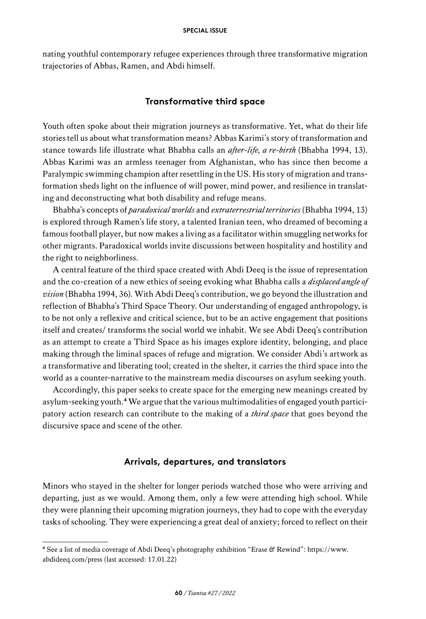nating youthful contemporary refugee experiences through three transformative migration trajectories of Abbas, Ramen, and Abdi himself.

## **Transformative third space**

Youth often spoke about their migration journeys as transformative. Yet, what do their life stories tell us about what transformation means? Abbas Karimi's story of transformation and stance towards life illustrate what Bhabha calls an *after-life, a re-birth* (Bhabha 1994, 13). Abbas Karimi was an armless teenager from Afghanistan, who has since then become a Paralympic swimming champion after resettling in the US. His story of migration and transformation sheds light on the influence of will power, mind power, and resilience in translating and deconstructing what both disability and refuge means.

Bhabha's concepts of *paradoxical worlds* and *extraterrestrial territories* (Bhabha 1994, 13) is explored through Ramen's life story, a talented Iranian teen, who dreamed of becoming a famous football player, but now makes a living as a facilitator within smuggling networks for other migrants. Paradoxical worlds invite discussions between hospitality and hostility and the right to neighborliness.

A central feature of the third space created with Abdi Deeq is the issue of representation and the co-creation of a new ethics of seeing evoking what Bhabha calls a *displaced angle of vision* (Bhabha 1994, 36). With Abdi Deeq's contribution, we go beyond the illustration and reflection of Bhabha's Third Space Theory. Our understanding of engaged anthropology, is to be not only a reflexive and critical science, but to be an active engagement that positions itself and creates/ transforms the social world we inhabit. We see Abdi Deeq's contribution as an attempt to create a Third Space as his images explore identity, belonging, and place making through the liminal spaces of refuge and [migration. We](http://migration.We) consider Abdi's artwork as a transformative and liberating tool; created in the shelter, it carries the third space into the world as a counter-narrative to the mainstream media discourses on asylum seeking youth.

Accordingly, this paper seeks to create space for the emerging new meanings created by asylum-seeking youth.<sup>4</sup> We argue that the various multimodalities of engaged youth participatory action research can contribute to the making of a *third space* that goes beyond the discursive space and scene of the other.

## **Arrivals, departures, and translators**

Minors who stayed in the shelter for longer periods watched those who were arriving and departing, just as we would. Among them, only a few were attending high school. While they were planning their upcoming migration journeys, they had to cope with the everyday tasks of schooling. They were experiencing a great deal of anxiety; forced to reflect on their

<sup>4</sup> See a list of media coverage of Abdi Deeq's photography exhibition "Erase & Rewind": [https://www.](https://www.abdideeq.com/press) [abdideeq.com/press](https://www.abdideeq.com/press) (last accessed: 17.01.22)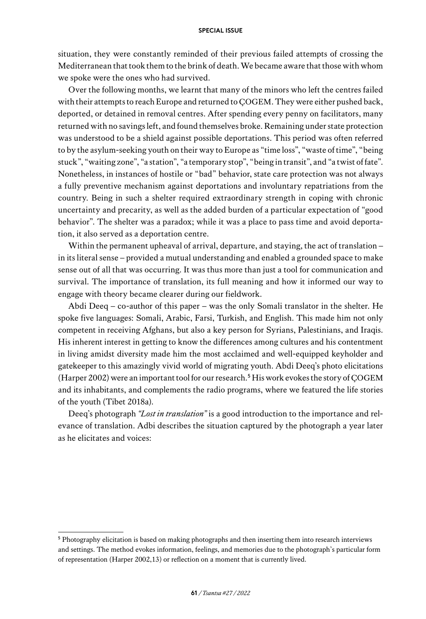situation, they were constantly reminded of their previous failed attempts of crossing the Mediterranean that took them to the brink of death. We became aware that those with whom we spoke were the ones who had survived.

Over the following months, we learnt that many of the minors who left the centres failed with their attempts to reach Europe and returned to ÇOGEM. They were either pushed back, deported, or detained in removal centres. After spending every penny on facilitators, many returned with no savings left, and found themselves broke. Remaining under state protection was understood to be a shield against possible deportations. This period was often referred to by the asylum-seeking youth on their way to Europe as "time loss", "waste of time", "being stuck", "waiting zone", "a station", "a temporary stop", "being in transit", and "a twist of fate". Nonetheless, in instances of hostile or "bad" behavior, state care protection was not always a fully preventive mechanism against deportations and involuntary repatriations from the country. Being in such a shelter required extraordinary strength in coping with chronic uncertainty and precarity, as well as the added burden of a particular expectation of "good behavior". The shelter was a paradox; while it was a place to pass time and avoid deportation, it also served as a deportation centre.

Within the permanent upheaval of arrival, departure, and staying, the act of translation – in its literal sense – provided a mutual understanding and enabled a grounded space to make sense out of all that was occurring. It was thus more than just a tool for communication and survival. The importance of translation, its full meaning and how it informed our way to engage with theory became clearer during our fieldwork.

Abdi Deeq – co-author of this paper – was the only Somali translator in the shelter. He spoke five languages: Somali, Arabic, Farsi, Turkish, and English. This made him not only competent in receiving Afghans, but also a key person for Syrians, Palestinians, and Iraqis. His inherent interest in getting to know the differences among cultures and his contentment in living amidst diversity made him the most acclaimed and well-equipped keyholder and gatekeeper to this amazingly vivid world of migrating youth. Abdi Deeq's photo elicitations (Harper 2002) were an important tool for our research.<sup>5</sup> His work evokes the story of ÇOGEM and its inhabitants, and complements the radio programs, where we featured the life stories of the youth (Tibet 2018a).

Deeq's photograph *"Lost in translation"* is a good introduction to the importance and relevance of translation. Adbi describes the situation captured by the photograph a year later as he elicitates and voices:

<sup>&</sup>lt;sup>5</sup> Photography elicitation is based on making photographs and then inserting them into research interviews and settings. The method evokes information, feelings, and memories due to the photograph's particular form of representation (Harper 2002,13) or reflection on a moment that is currently lived.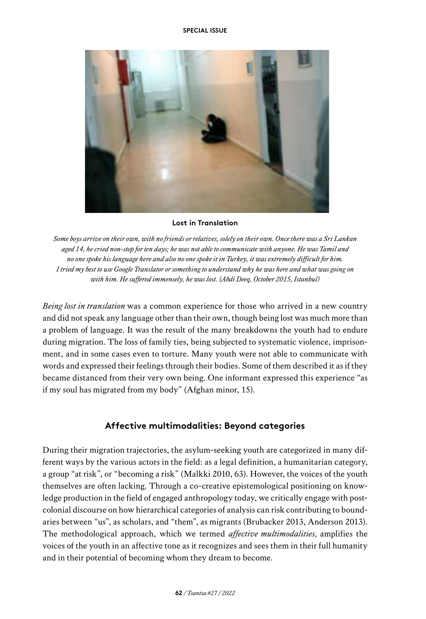

#### **Lost in Translation**

*Some boys arrive on their own, with no friends or relatives, solely on their own. Once there was a Sri Lankan aged 14, he cried non-stop for ten days; he was not able to communicate with anyone. He was Tamil and no one spoke his language here and also no one spoke it in Turkey, it was extremely difficult for him. I tried my best to use Google Translator or something to understand why he was here and what was going on with him. He suffered immensely, he was lost. (Abdi Deeq, October 2015, Istanbul)*

*Being lost in translation* was a common experience for those who arrived in a new country and did not speak any language other than their own, though being lost was much more than a problem of language. It was the result of the many breakdowns the youth had to endure during migration. The loss of family ties, being subjected to systematic violence, imprisonment, and in some cases even to torture. Many youth were not able to communicate with words and expressed their feelings through their bodies. Some of them described it as if they became distanced from their very own being. One informant expressed this experience "as if my soul has migrated from my body" (Afghan minor, 15).

## **Affective multimodalities: Beyond categories**

During their migration trajectories, the asylum-seeking youth are categorized in many different ways by the various actors in the field: as a legal definition, a humanitarian category, a group "at risk", or "becoming a risk" (Malkki 2010, 63). However, the voices of the youth themselves are often lacking. Through a co-creative epistemological positioning on knowledge production in the field of engaged anthropology today, we critically engage with postcolonial discourse on how hierarchical categories of analysis can risk contributing to boundaries between "us", as scholars, and "them", as migrants (Brubacker 2013, Anderson 2013). The methodological approach, which we termed *affective multimodalities,* amplifies the voices of the youth in an affective tone as it recognizes and sees them in their full humanity and in their potential of becoming whom they dream to become.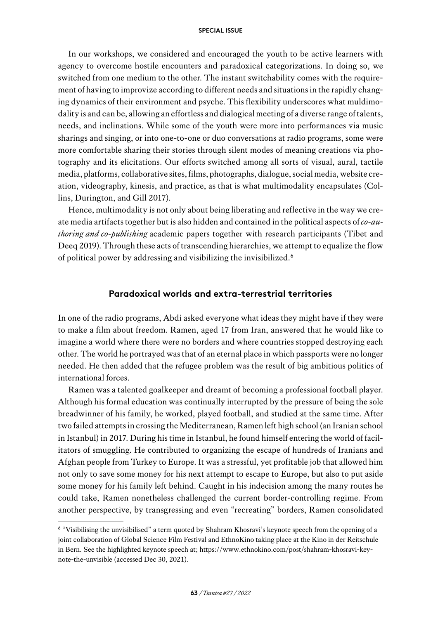In our workshops, we considered and encouraged the youth to be active learners with agency to overcome hostile encounters and paradoxical categorizations. In doing so, we switched from one medium to the other. The instant switchability comes with the requirement of having to improvize according to different needs and situations in the rapidly changing dynamics of their environment and psyche. This flexibility underscores what muldimodality is and can be, allowing an effortless and dialogical meeting of a diverse range of talents, needs, and inclinations. While some of the youth were more into performances via music sharings and singing, or into one-to-one or duo conversations at radio programs, some were more comfortable sharing their stories through silent modes of meaning creations via photography and its elicitations. Our efforts switched among all sorts of visual, aural, tactile media, platforms, collaborative sites, films, photographs, dialogue, social media, website creation, videography, kinesis, and practice, as that is what multimodality encapsulates (Collins, Durington, and Gill 2017).

Hence, multimodality is not only about being liberating and reflective in the way we create media artifacts together but is also hidden and contained in the political aspects of *co-authoring and co-publishing* academic papers together with research participants (Tibet and Deeq 2019). Through these acts of transcending hierarchies, we attempt to equalize the flow of political power by addressing and visibilizing the invisibilized.<sup>6</sup>

## **Paradoxical worlds and extra-terrestrial territories**

In one of the radio programs, Abdi asked everyone what ideas they might have if they were to make a film about freedom. Ramen, aged 17 from Iran, answered that he would like to imagine a world where there were no borders and where countries stopped destroying each other. The world he portrayed was that of an eternal place in which passports were no longer needed. He then added that the refugee problem was the result of big ambitious politics of international forces.

Ramen was a talented goalkeeper and dreamt of becoming a professional football player. Although his formal education was continually interrupted by the pressure of being the sole breadwinner of his family, he worked, played football, and studied at the same time. After two failed attempts in crossing the Mediterranean, Ramen left high school (an Iranian school in Istanbul) in 2017. During his time in Istanbul, he found himself entering the world of facilitators of smuggling. He contributed to organizing the escape of hundreds of Iranians and Afghan people from Turkey to Europe. It was a stressful, yet profitable job that allowed him not only to save some money for his next attempt to escape to Europe, but also to put aside some money for his family left behind. Caught in his indecision among the many routes he could take, Ramen nonetheless challenged the current border-controlling regime. From another perspective, by transgressing and even "recreating" borders, Ramen consolidated

<sup>6</sup> "Visibilising the unvisibilised" a term quoted by Shahram Khosravi's keynote speech from the opening of a joint collaboration of Global Science Film Festival and EthnoKino taking place at the Kino in der Reitschule in Bern. See the highlighted keynote speech at; [https://www.ethnokino.com/post/shahram-khosravi-key](https://www.ethnokino.com/post/shahram-khosravi-keynote-the-unvisible)[note-the-unvisible](https://www.ethnokino.com/post/shahram-khosravi-keynote-the-unvisible) (accessed Dec 30, 2021).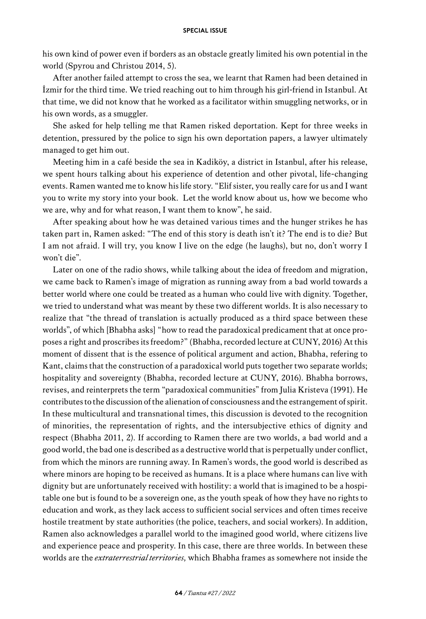his own kind of power even if borders as an obstacle greatly limited his own potential in the world (Spyrou and Christou 2014, 5).

After another failed attempt to cross the sea, we learnt that Ramen had been detained in İzmir for the third time. We tried reaching out to him through his girl-friend in Istanbul. At that time, we did not know that he worked as a facilitator within smuggling networks, or in his own words, as a smuggler.

She asked for help telling me that Ramen risked deportation. Kept for three weeks in detention, pressured by the police to sign his own deportation papers, a lawyer ultimately managed to get him out.

Meeting him in a café beside the sea in Kadiköy, a district in Istanbul, after his release, we spent hours talking about his experience of detention and other pivotal, life-changing events. Ramen wanted me to know his life story. "Elif sister, you really care for us and I want you to write my story into your book. Let the world know about us, how we become who we are, why and for what reason, I want them to know", he said.

After speaking about how he was detained various times and the hunger strikes he has taken part in, Ramen asked: "The end of this story is death isn't it? The end is to die? But I am not afraid. I will try, you know I live on the edge (he laughs), but no, don't worry I won't die".

Later on one of the radio shows, while talking about the idea of freedom and migration, we came back to Ramen's image of migration as running away from a bad world towards a better world where one could be treated as a human who could live with dignity. Together, we tried to understand what was meant by these two different worlds. It is also necessary to realize that "the thread of translation is actually produced as a third space between these worlds", of which [Bhabha asks] "how to read the paradoxical predicament that at once proposes a right and proscribes its freedom?" (Bhabha, recorded lecture at CUNY, 2016) At this moment of dissent that is the essence of political argument and action, Bhabha, refering to Kant, claims that the construction of a paradoxical world puts together two separate worlds; hospitality and sovereignty (Bhabha, recorded lecture at CUNY, 2016). Bhabha borrows, revises, and reinterprets the term "paradoxical communities" from Julia Kristeva (1991). He contributes to the discussion of the alienation of consciousness and the estrangement of spirit. In these multicultural and transnational times, this discussion is devoted to the recognition of minorities, the representation of rights, and the intersubjective ethics of dignity and respect (Bhabha 2011, 2). If according to Ramen there are two worlds, a bad world and a good world, the bad one is described as a destructive world that is perpetually under conflict, from which the minors are running away. In Ramen's words, the good world is described as where minors are hoping to be received as humans. It is a place where humans can live with dignity but are unfortunately received with hostility: a world that is imagined to be a hospitable one but is found to be a sovereign one, as the youth speak of how they have no rights to education and work, as they lack access to sufficient social services and often times receive hostile treatment by state authorities (the police, teachers, and social workers). In addition, Ramen also acknowledges a parallel world to the imagined good world, where citizens live and experience peace and prosperity. In this case, there are three worlds. In between these worlds are the *extraterrestrial territories,* which Bhabha frames as somewhere not inside the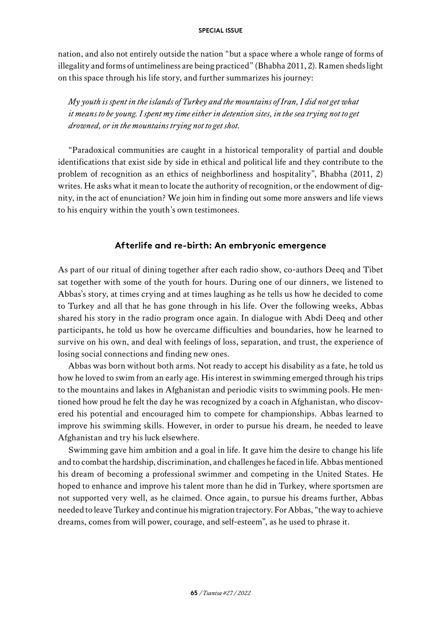nation, and also not entirely outside the nation "but a space where a whole range of forms of illegality and forms of untimeliness are being practiced" (Bhabha 2011, 2). Ramen sheds light on this space through his life story, and further summarizes his journey:

*My youth is spent in the islands of Turkey and the mountains of Iran, I did not get what it means to be young. I spent my time either in detention sites, in the sea trying not to get drowned, or in the mountains trying not to get shot.*

"Paradoxical communities are caught in a historical temporality of partial and double identifications that exist side by side in ethical and political life and they contribute to the problem of recognition as an ethics of neighborliness and hospitality", Bhabha (2011, 2) writes. He asks what it mean to locate the authority of recognition, or the endowment of dignity, in the act of enunciation? We join him in finding out some more answers and life views to his enquiry within the youth's own testimonees.

## **Afterlife and re-birth: An embryonic emergence**

As part of our ritual of dining together after each radio show, co-authors Deeq and Tibet sat together with some of the youth for hours. During one of our dinners, we listened to Abbas's story, at times crying and at times laughing as he tells us how he decided to come to Turkey and all that he has gone through in his life. Over the following weeks, Abbas shared his story in the radio program once again. In dialogue with Abdi Deeq and other participants, he told us how he overcame difficulties and boundaries, how he learned to survive on his own, and deal with feelings of loss, separation, and trust, the experience of losing social connections and finding new ones.

Abbas was born without both arms. Not ready to accept his disability as a fate, he told us how he loved to swim from an early age. His interest in swimming emerged through his trips to the mountains and lakes in Afghanistan and periodic visits to swimming pools. He mentioned how proud he felt the day he was recognized by a coach in Afghanistan, who discovered his potential and encouraged him to compete for championships. Abbas learned to improve his swimming skills. However, in order to pursue his dream, he needed to leave Afghanistan and try his luck elsewhere.

Swimming gave him ambition and a goal in life. It gave him the desire to change his life and to combat the hardship, discrimination, and challenges he faced in life. Abbas mentioned his dream of becoming a professional swimmer and competing in the United States. He hoped to enhance and improve his talent more than he did in Turkey, where sportsmen are not supported very well, as he claimed. Once again, to pursue his dreams further, Abbas needed to leave Turkey and continue his migration trajectory. For Abbas, "the way to achieve dreams, comes from will power, courage, and self-esteem", as he used to phrase it.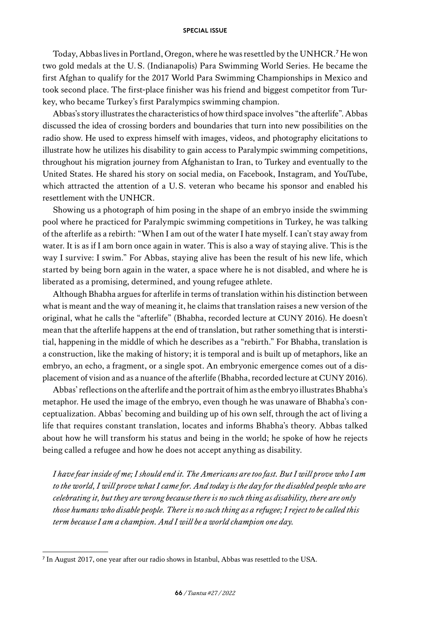Today, Abbas lives in Portland, Oregon, where he was resettled by the UNHCR.<sup>7</sup> He won two gold medals at the U.S. (Indianapolis) Para Swimming World Series. He became the first Afghan to qualify for the 2017 World Para Swimming Championships in Mexico and took second place. The first-place finisher was his friend and biggest competitor from Turkey, who became Turkey's first Paralympics swimming champion.

Abbas's story illustrates the characteristics of how third space involves "the afterlife". Abbas discussed the idea of crossing borders and boundaries that turn into new possibilities on the radio show. He used to express himself with images, videos, and photography elicitations to illustrate how he utilizes his disability to gain access to Paralympic swimming competitions, throughout his migration journey from Afghanistan to Iran, to Turkey and eventually to the United States. He shared his story on social media, on Facebook, Instagram, and YouTube, which attracted the attention of a U.S. veteran who became his sponsor and enabled his resettlement with the UNHCR.

Showing us a photograph of him posing in the shape of an embryo inside the swimming pool where he practiced for Paralympic swimming competitions in Turkey, he was talking of the afterlife as a rebirth: "When I am out of the water I hate myself. I can't stay away from water. It is as if I am born once again in water. This is also a way of staying alive. This is the way I survive: I swim." For Abbas, staying alive has been the result of his new life, which started by being born again in the water, a space where he is not disabled, and where he is liberated as a promising, determined, and young refugee athlete.

Although Bhabha argues for afterlife in terms of translation within his distinction between what is meant and the way of meaning it, he claims that translation raises a new version of the original, what he calls the "afterlife" (Bhabha, recorded lecture at CUNY 2016). He doesn't mean that the afterlife happens at the end of translation, but rather something that is interstitial, happening in the middle of which he describes as a "rebirth." For Bhabha, translation is a construction, like the making of history; it is temporal and is built up of metaphors, like an embryo, an echo, a fragment, or a single spot. An embryonic emergence comes out of a displacement of vision and as a nuance of the afterlife (Bhabha, recorded lecture at CUNY 2016).

Abbas' reflections on the afterlife and the portrait of him as the embryo illustrates Bhabha's metaphor. He used the image of the embryo, even though he was unaware of Bhabha's conceptualization. Abbas' becoming and building up of his own self, through the act of living a life that requires constant translation, locates and informs Bhabha's theory. Abbas talked about how he will transform his status and being in the world; he spoke of how he rejects being called a refugee and how he does not accept anything as disability.

*I have fear inside of me; I should end it. The Americans are too fast. But I will prove who I am to the world, I will prove what I came for. And today is the day for the disabled people who are celebrating it, but they are wrong because there is no such thing as disability, there are only those humans who disable people. There is no such thing as a refugee; I reject to be called this term because I am a champion. And I will be a world champion one day.*

<sup>7</sup> In August 2017, one year after our radio shows in Istanbul, Abbas was resettled to the USA.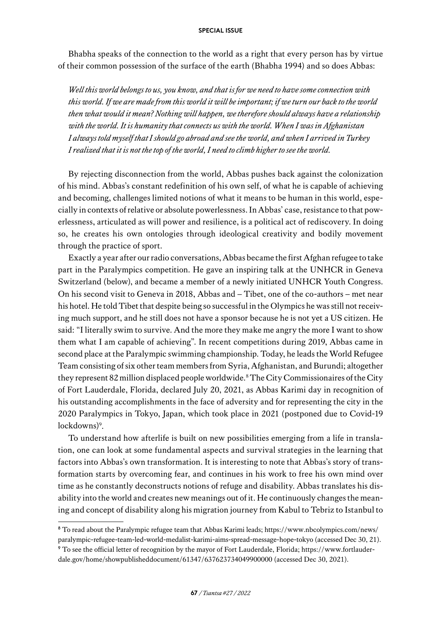Bhabha speaks of the connection to the world as a right that every person has by virtue of their common possession of the surface of the earth (Bhabha 1994) and so does Abbas:

*Well this world belongs to us, you know, and that is for we need to have some connection with this world. If we are made from this world it will be important; if we turn our back to the world then what would it mean? Nothing will happen, we therefore should always have a relationship with the world. It is humanity that connects us with the world. When I was in Afghanistan I always told myself that I should go abroad and see the world, and when I arrived in Turkey I realized that it is not the top of the world, I need to climb higher to see the world.*

By rejecting disconnection from the world, Abbas pushes back against the colonization of his mind. Abbas's constant redefinition of his own self, of what he is capable of achieving and becoming, challenges limited notions of what it means to be human in this world, especially in contexts of relative or absolute powerlessness. In Abbas' case, resistance to that powerlessness, articulated as will power and resilience, is a political act of rediscovery. In doing so, he creates his own ontologies through ideological creativity and bodily movement through the practice of sport.

Exactly a year after our radio conversations, Abbas became the first Afghan refugee to take part in the Paralympics competition. He gave an inspiring talk at the UNHCR in Geneva Switzerland (below), and became a member of a newly initiated UNHCR Youth Congress. On his second visit to Geneva in 2018, Abbas and – Tibet, one of the co-authors – met near his hotel. He told Tibet that despite being so successful in the Olympics he was still not receiving much support, and he still does not have a sponsor because he is not yet a US citizen. He said: "I literally swim to survive. And the more they make me angry the more I want to show them what I am capable of achieving". In recent competitions during 2019, Abbas came in second place at the Paralympic swimming championship. Today, he leads the World Refugee Team consisting of six other team members from Syria, Afghanistan, and Burundi; altogether they represent 82 million displaced people worldwide.<sup>8</sup> The City Commissionaires of the City of Fort Lauderdale, Florida, declared July 20, 2021, as Abbas Karimi day in recognition of his outstanding accomplishments in the face of adversity and for representing the city in the 2020 Paralympics in Tokyo, Japan, which took place in 2021 (postponed due to Covid-19 lockdowns)<sup>9</sup>.

To understand how afterlife is built on new possibilities emerging from a life in translation, one can look at some fundamental aspects and survival strategies in the learning that factors into Abbas's own transformation. It is interesting to note that Abbas's story of transformation starts by overcoming fear, and continues in his work to free his own mind over time as he constantly deconstructs notions of refuge and disability. Abbas translates his disability into the world and creates new meanings out of it. He continuously changes the meaning and concept of disability along his migration journey from Kabul to Tebriz to Istanbul to

<sup>8</sup> To read about the Paralympic refugee team that Abbas Karimi leads; [https://www.nbcolympics.com/news/](https://www.nbcolympics.com/news/paralympic-refugee-team-led-world-medalist-karimi-aims-spread-message-hope-tokyo) [paralympic-refugee-team-led-world-medalist-karimi-aims-spread-message-hope-tokyo](https://www.nbcolympics.com/news/paralympic-refugee-team-led-world-medalist-karimi-aims-spread-message-hope-tokyo) (accessed Dec 30, 21).

<sup>9</sup> To see the official letter of recognition by the mayor of Fort Lauderdale, Florida; [https://www.fortlauder](https://www.fortlauderdale.gov/home/showpublisheddocument/61347/637623734049900000)[dale.gov/home/showpublisheddocument/61347/637623734049900000](https://www.fortlauderdale.gov/home/showpublisheddocument/61347/637623734049900000) (accessed Dec 30, 2021).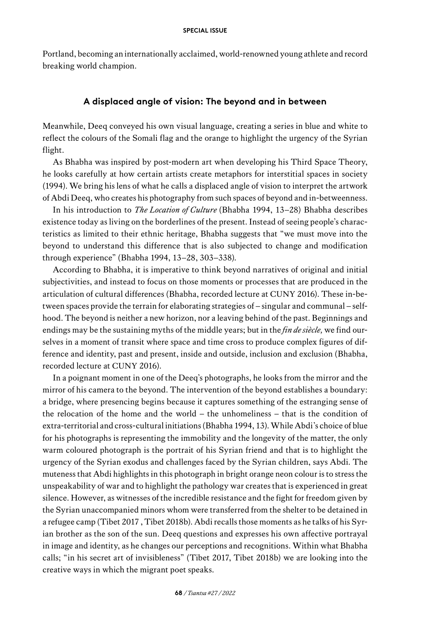Portland, becoming an internationally acclaimed, world-renowned young athlete and record breaking world champion.

## **A displaced angle of vision: The beyond and in between**

Meanwhile, Deeq conveyed his own visual language, creating a series in blue and white to reflect the colours of the Somali flag and the orange to highlight the urgency of the Syrian flight.

As Bhabha was inspired by post-modern art when developing his Third Space Theory, he looks carefully at how certain artists create metaphors for interstitial spaces in society (1994). We bring his lens of what he calls a displaced angle of vision to interpret the artwork of Abdi Deeq, who creates his photography from such spaces of beyond and in-betweenness.

In his introduction to *The Location of Culture* (Bhabha 1994, 13–28) Bhabha describes existence today as living on the borderlines of the present. Instead of seeing people's characteristics as limited to their ethnic heritage, Bhabha suggests that "we must move into the beyond to understand this difference that is also subjected to change and modification through experience" (Bhabha 1994, 13–28, 303–338)*.*

According to Bhabha, it is imperative to think beyond narratives of original and initial subjectivities, and instead to focus on those moments or processes that are produced in the articulation of cultural differences (Bhabha, recorded lecture at CUNY 2016). These in-between spaces provide the terrain for elaborating strategies of – singular and communal – selfhood. The beyond is neither a new horizon, nor a leaving behind of the past. Beginnings and endings may be the sustaining myths of the middle years; but in the *fin de siècle,* we find ourselves in a moment of transit where space and time cross to produce complex figures of difference and identity, past and present, inside and outside, inclusion and exclusion (Bhabha, recorded lecture at CUNY 2016).

In a poignant moment in one of the Deeq's photographs, he looks from the mirror and the mirror of his camera to the beyond. The intervention of the beyond establishes a boundary: a bridge, where presencing begins because it captures something of the estranging sense of the relocation of the home and the world  $-$  the unhomeliness  $-$  that is the condition of extra-territorial and cross-cultural initiations (Bhabha 1994, 13). While Abdi's choice of blue for his photographs is representing the immobility and the longevity of the matter, the only warm coloured photograph is the portrait of his Syrian friend and that is to highlight the urgency of the Syrian exodus and challenges faced by the Syrian children, says Abdi. The muteness that Abdi highlights in this photograph in bright orange neon colour is to stress the unspeakability of war and to highlight the pathology war creates that is experienced in great silence. However, as witnesses of the incredible resistance and the fight for freedom given by the Syrian unaccompanied minors whom were transferred from the shelter to be detained in a refugee camp (Tibet 2017 , Tibet 2018b). Abdi recalls those moments as he talks of his Syrian brother as the son of the sun. Deeq questions and expresses his own affective portrayal in image and identity, as he changes our perceptions and recognitions. Within what Bhabha calls; "in his secret art of invisibleness" (Tibet 2017, Tibet 2018b) we are looking into the creative ways in which the migrant poet speaks.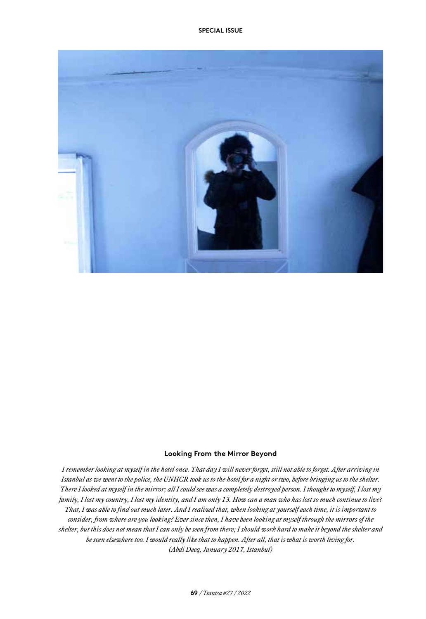

#### **Looking From the Mirror Beyond**

*I remember looking at myself in the hotel once. That day I will never forget, still not able to forget. After arriving in Istanbul as we went to the police, the UNHCR took us to the hotel for a night or two, before bringing us to the shelter. There I looked at myself in the mirror; all I could see was a completely destroyed person. I thought to myself, I lost my family, I lost my country, I lost my identity, and I am only 13. How can a man who has lost so much continue to live? That, I was able to find out much later. And I realized that, when looking at yourself each time, it is important to consider, from where are you looking? Ever since then, I have been looking at myself through the mirrors of the shelter, but this does not mean that I can only be seen from there; I should work hard to make it beyond the shelter and be seen elsewhere too. I would really like that to happen. After all, that is what is worth living for. (Abdi Deeq, January 2017, Istanbul)*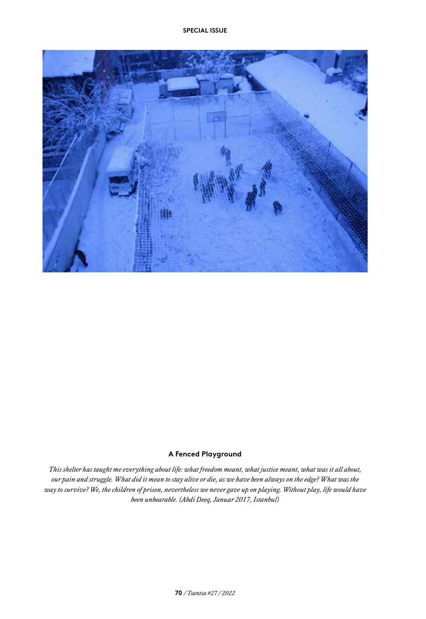

#### **A Fenced Playground**

*This shelter has taught me everything about life: what freedom meant, what justice meant, what was it all about, our pain and struggle. What did it mean to stay alive or die, as we have been always on the edge? What was the way to survive? We, the children of prison, nevertheless we never gave up on playing. Without play, life would have been unbearable. (Abdi Deeq, Januar 2017, Istanbul)*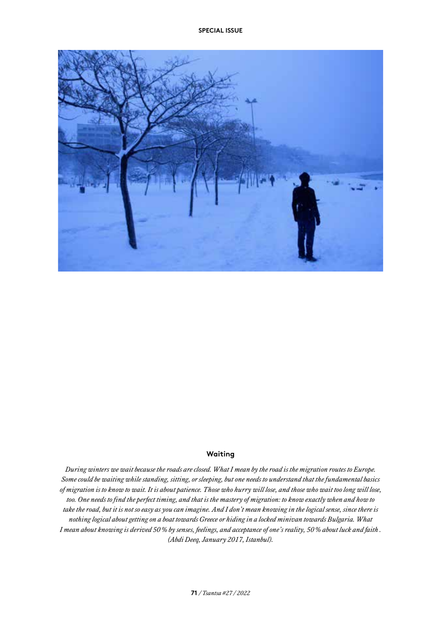

#### **Waiting**

*During winters we wait because the roads are closed. What I mean by the road is the migration routes to Europe. Some could be waiting while standing, sitting, or sleeping, but one needs to understand that the fundamental basics of migration is to know to wait. It is about patience. Those who hurry will lose, and those who wait too long will lose, too. One needs to find the perfect timing, and that is the mastery of migration: to know exactly when and how to take the road, but it is not so easy as you can imagine. And I don't mean knowing in the logical sense, since there is nothing logical about getting on a boat towards Greece or hiding in a locked minivan towards Bulgaria. What I mean about knowing is derived 50% by senses, feelings, and acceptance of one's reality, 50% about luck and faith . (Abdi Deeq, January 2017, Istanbul).*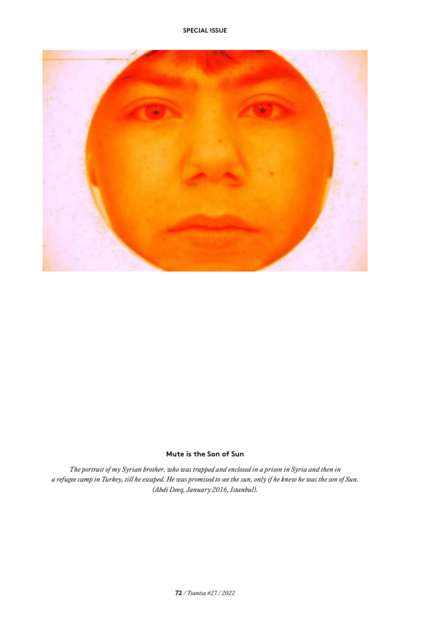

## **Mute is the Son of Sun**

*The portrait of my Syrian brother, who was trapped and enclosed in a prison in Syria and then in a refugee camp in Turkey, till he escaped. He was promised to see the sun, only if he knew he was the son of Sun. (Abdi Deeq, January 2016, Istanbul).*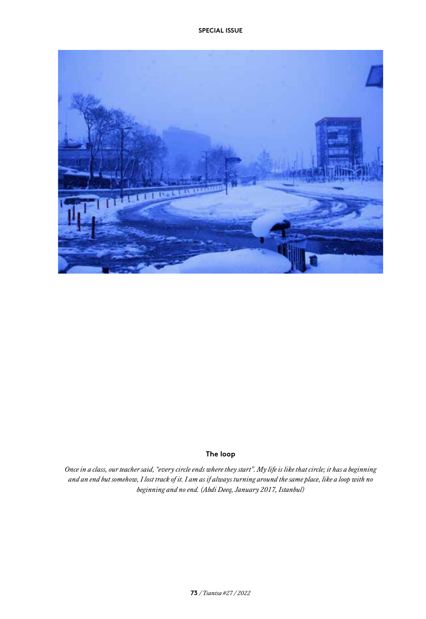

## **The loop**

*Once in a class, our teacher said, "every circle ends where they start". My life is like that circle; it has a beginning and an end but somehow, I lost track of it. I am as if always turning around the same place, like a loop with no beginning and no end. (Abdi Deeq, January 2017, Istanbul)*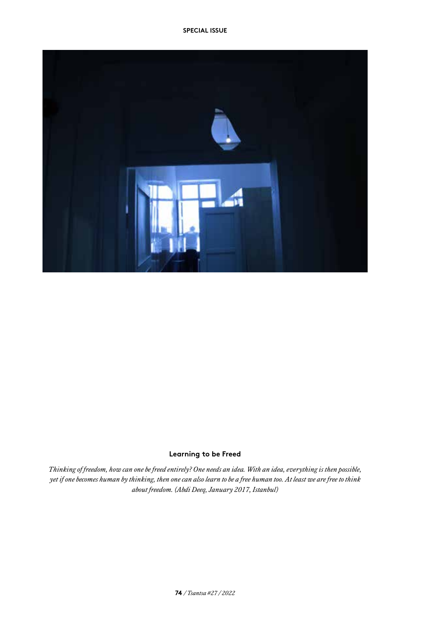

## **Learning to be Freed**

*Thinking of freedom, how can one be freed entirely? One needs an idea. With an idea, everything is then possible, yet if one becomes human by thinking, then one can also learn to be a free human too. At least we are free to think about freedom. (Abdi Deeq, January 2017, Istanbul)*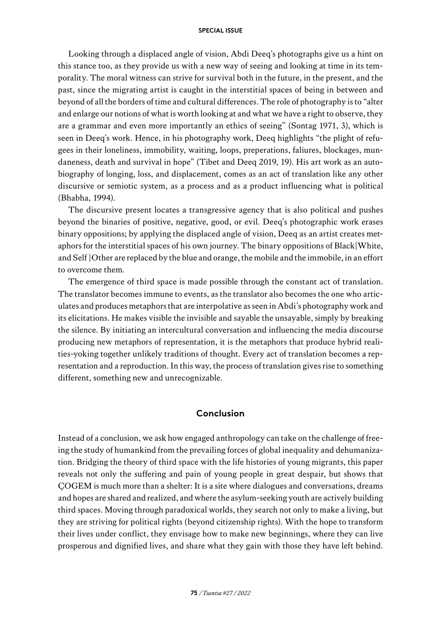Looking through a displaced angle of vision, Abdi Deeq's photographs give us a hint on this stance too, as they provide us with a new way of seeing and looking at time in its temporality. The moral witness can strive for survival both in the future, in the present, and the past, since the migrating artist is caught in the interstitial spaces of being in between and beyond of all the borders of time and cultural differences. The role of photography is to "alter and enlarge our notions of what is worth looking at and what we have a right to observe, they are a grammar and even more importantly an ethics of seeing" (Sontag 1971, 3), which is seen in Deeq's work. Hence, in his photography work, Deeq highlights "the plight of refugees in their loneliness, immobility, waiting, loops, preperations, faliures, blockages, mundaneness, death and survival in hope" (Tibet and Deeq 2019, 19). His art work as an autobiography of longing, loss, and displacement, comes as an act of translation like any other discursive or semiotic system, as a process and as a product influencing what is political (Bhabha, 1994).

The discursive present locates a transgressive agency that is also political and pushes beyond the binaries of positive, negative, good, or evil. Deeq's photographic work erases binary oppositions; by applying the displaced angle of vision, Deeq as an artist creates metaphors for the interstitial spaces of his own journey. The binary oppositions of Black|White, and Self |Other are replaced by the blue and orange, the mobile and the immobile, in an effort to overcome them.

The emergence of third space is made possible through the constant act of translation. The translator becomes immune to events, as the translator also becomes the one who articulates and produces metaphors that are interpolative as seen in Abdi's photography work and its elicitations. He makes visible the invisible and sayable the unsayable, simply by breaking the silence. By initiating an intercultural conversation and influencing the media discourse producing new metaphors of representation, it is the metaphors that produce hybrid realities-yoking together unlikely traditions of thought. Every act of translation becomes a representation and a reproduction. In this way, the process of translation gives rise to something different, something new and unrecognizable.

## **Conclusion**

Instead of a conclusion, we ask how engaged anthropology can take on the challenge of freeing the study of humankind from the prevailing forces of global inequality and dehumanization. Bridging the theory of third space with the life histories of young migrants, this paper reveals not only the suffering and pain of young people in great despair, but shows that ÇOGEM is much more than a shelter: It is a site where dialogues and conversations, dreams and hopes are shared and realized, and where the asylum-seeking youth are actively building third spaces. Moving through paradoxical worlds, they search not only to make a living, but they are striving for political rights (beyond citizenship rights). With the hope to transform their lives under conflict, they envisage how to make new beginnings, where they can live prosperous and dignified lives, and share what they gain with those they have left behind.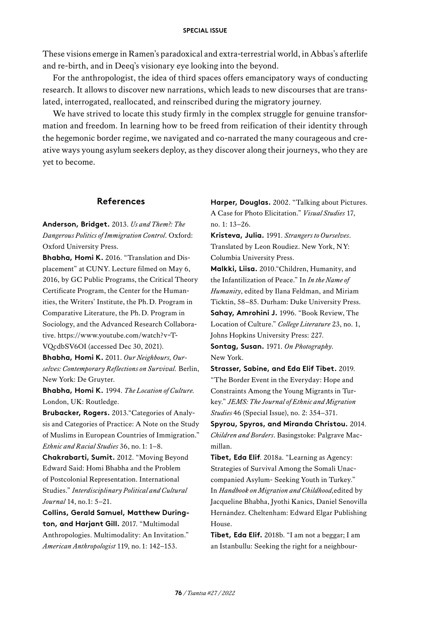These visions emerge in Ramen's paradoxical and extra-terrestrial world, in Abbas's afterlife and re-birth, and in Deeq's visionary eye looking into the beyond.

For the anthropologist, the idea of third spaces offers emancipatory ways of conducting research. It allows to discover new narrations, which leads to new discourses that are translated, interrogated, reallocated, and reinscribed during the migratory journey.

We have strived to locate this study firmly in the complex struggle for genuine transformation and freedom. In learning how to be freed from reification of their identity through the hegemonic border regime, we navigated and co-narrated the many courageous and creative ways young asylum seekers deploy, as they discover along their journeys, who they are yet to become.

## **References**

**Anderson, Bridget.** 2013. *Us and Them?: The Dangerous Politics of Immigration Control*. Oxford: Oxford University Press.

**Bhabha, Homi K.** 2016. "Translation and Displacement" at CUNY. Lecture filmed on May 6, 2016, by GC Public Programs, the Critical Theory Certificate Program, the Center for the Humanities, the Writers' Institute, the Ph.D. Program in Comparative Literature, the Ph.D. Program in Sociology, and the Advanced Research Collaborative. [https://www.youtube.com/watch?v=T-](https://www.youtube.com/watch?v=TVQcdbSV6OI)[VQcdbSV6OI](https://www.youtube.com/watch?v=TVQcdbSV6OI) (accessed Dec 30, 2021).

**Bhabha, Homi K.** 2011. *Our Neighbours, Ourselves: Contemporary Reflections on Survival.* Berlin, New York: De Gruyter.

**Bhabha, Homi K.** 1994. *The Location of Culture.*  London, UK: Routledge.

**Brubacker, Rogers.** 2013."Categories of Analysis and Categories of Practice: A Note on the Study of Muslims in European Countries of Immigration." *Ethnic and Racial Studies* 36, no.1: 1–8.

**Chakrabarti, Sumit.** 2012. "Moving Beyond Edward Said: Homi Bhabha and the Problem of Postcolonial Representation. International Studies." *Interdisciplinary Political and Cultural Journal* 14, no.1: 5–21.

**Collins, Gerald Samuel, Matthew Durington, and Harjant Gill.** 2017. "Multimodal Anthropologies. Multimodality: An Invitation." *American Anthropologist* 119, no.1: 142–153.

**Harper, Douglas.** 2002. "Talking about Pictures. A Case for Photo Elicitation." *Visual Studies* 17, no. 1: 13–26.

**Kristeva, Julia.** 1991. *Strangers to Ourselves*. Translated by Leon Roudiez. New York, NY: Columbia University Press.

**Malkki, Liisa.** 2010."Children, Humanity, and the Infantilization of Peace." In *In the Name of Humanity*, edited by Ilana Feldman, and Miriam Ticktin, 58–85. Durham: Duke University Press. **Sahay, Amrohini J.** 1996. "Book Review, The Location of Culture." *College Literature* 23, no. 1, Johns Hopkins University Press: 227.

**Sontag, Susan.** 1971. *On Photography*. New York.

**Strasser, Sabine, and Eda Elif Tibet.** 2019. "The Border Event in the Everyday: Hope and Constraints Among the Young Migrants in Turkey." *JEMS: The Journal of Ethnic and Migration Studies* 46 (Special Issue), no. 2: 354–371.

**Spyrou, Spyros, and Miranda Christou.** 2014. *Children and Borders*. Basingstoke: Palgrave Macmillan.

**Tibet, Eda Elif**. 2018a. "Learning as Agency: Strategies of Survival Among the Somali Unaccompanied Asylum- Seeking Youth in Turkey." In *Handbook on Migration and Childhood,*edited by Jacqueline Bhabha, Jyothi Kanics, Daniel Senovilla Hernández. Cheltenham: Edward Elgar Publishing House.

**Tibet, Eda Elif.** 2018b. "I am not a beggar; I am an Istanbullu: Seeking the right for a neighbour